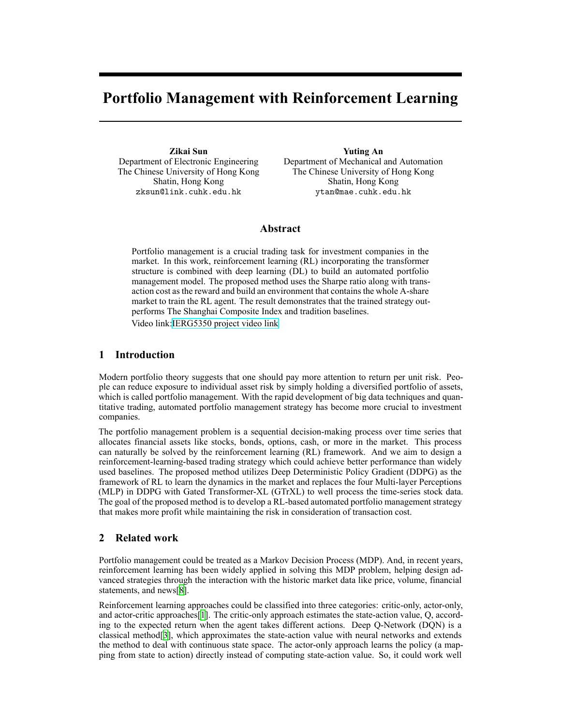# **Portfolio Management with Reinforcement Learning**

**Zikai Sun** Department of Electronic Engineering The Chinese University of Hong Kong Shatin, Hong Kong zksun@link.cuhk.edu.hk

**Yuting An** Department of Mechanical and Automation The Chinese University of Hong Kong Shatin, Hong Kong ytan@mae.cuhk.edu.hk

# **Abstract**

Portfolio management is a crucial trading task for investment companies in the market. In this work, reinforcement learning (RL) incorporating the transformer structure is combined with deep learning (DL) to build an automated portfolio management model. The proposed method uses the Sharpe ratio along with transaction cost as the reward and build an environment that contains the whole A-share market to train the RL agent. The result demonstrates that the trained strategy outperforms The Shanghai Composite Index and tradition baselines.

Video link[:IERG5350 project video link](https://mycuhk-my.sharepoint.com/:f:/g/personal/1155135727_link_cuhk_edu_hk/Eoq-QLfeJ0VEoSrtVAgvTV4BxfOw26UEbxY3xvogezM3Dg?e=CHX9nt)

# **1 Introduction**

Modern portfolio theory suggests that one should pay more attention to return per unit risk. People can reduce exposure to individual asset risk by simply holding a diversified portfolio of assets, which is called portfolio management. With the rapid development of big data techniques and quantitative trading, automated portfolio management strategy has become more crucial to investment companies.

The portfolio management problem is a sequential decision-making process over time series that allocates financial assets like stocks, bonds, options, cash, or more in the market. This process can naturally be solved by the reinforcement learning (RL) framework. And we aim to design a reinforcement-learning-based trading strategy which could achieve better performance than widely used baselines. The proposed method utilizes Deep Deterministic Policy Gradient (DDPG) as the framework of RL to learn the dynamics in the market and replaces the four Multi-layer Perceptions (MLP) in DDPG with Gated Transformer-XL (GTrXL) to well process the time-series stock data. The goal of the proposed method is to develop a RL-based automated portfolio management strategy that makes more profit while maintaining the risk in consideration of transaction cost.

# **2 Related work**

Portfolio management could be treated as a Markov Decision Process (MDP). And, in recent years, reinforcement learning has been widely applied in solving this MDP problem, helping design advanced strategies through the interaction with the historic market data like price, volume, financial statements, and news[[8\]](#page-5-0).

Reinforcement learning approaches could be classified into three categories: critic-only, actor-only, and actor-critic approaches [\[1](#page-5-1)]. The critic-only approach estimates the state-action value,  $Q$ , according to the expected return when the agent takes different actions. Deep Q-Network (DQN) is a classical method<sup>[\[3](#page-5-2)]</sup>, which approximates the state-action value with neural networks and extends the method to deal with continuous state space. The actor-only approach learns the policy (a mapping from state to action) directly instead of computing stateaction value. So, it could work well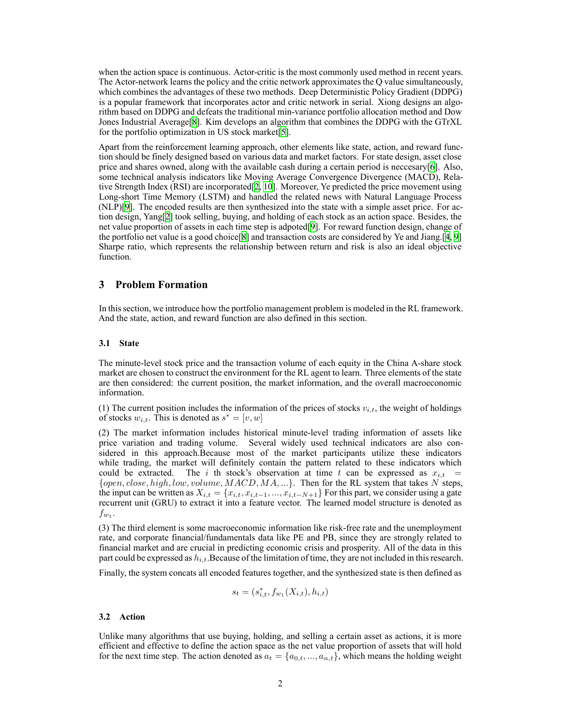when the action space is continuous. Actor-critic is the most commonly used method in recent years. The Actor-network learns the policy and the critic network approximates the Q value simultaneously, which combines the advantages of these two methods. Deep Deterministic Policy Gradient (DDPG) is a popular framework that incorporates actor and critic network in serial. Xiong designs an algorithm based on DDPG and defeats the traditional minvariance portfolio allocation method and Dow Jones Industrial Average[[8\]](#page-5-0). Kim develops an algorithm that combines the DDPG with the GTrXL for the portfolio optimization in US stock market[[5\]](#page-5-3).

Apart from the reinforcement learning approach, other elements like state, action, and reward function should be finely designed based on various data and market factors. For state design, asset close price and shares owned, along with the available cash during a certain period is neccesary[[6\]](#page-5-4). Also, some technical analysis indicators like Moving Average Convergence Divergence (MACD), Relative Strength Index (RSI) are incorporated[[2,](#page-5-5) [10](#page-5-6)]. Moreover, Ye predicted the price movement using Long-short Time Memory (LSTM) and handled the related news with Natural Language Process (NLP)[\[9](#page-5-7)]. The encoded results are then synthesized into the state with a simple asset price. For action design, Yang[[2\]](#page-5-5) took selling, buying, and holding of each stock as an action space. Besides, the net value proportion of assets in each time step is adpoted[\[9\]](#page-5-7). For reward function design, change of the portfolio net value is a good choice[[8\]](#page-5-0) and transaction costs are considered by Ye and Jiang.[\[4](#page-5-8), [9\]](#page-5-7) Sharpe ratio, which represents the relationship between return and risk is also an ideal objective function.

### **3 Problem Formation**

In this section, we introduce how the portfolio management problem is modeled in the RL framework. And the state, action, and reward function are also defined in this section.

#### **3.1 State**

The minute-level stock price and the transaction volume of each equity in the China A-share stock market are chosen to construct the environment for the RL agent to learn. Three elements of the state are then considered: the current position, the market information, and the overall macroeconomic information.

(1) The current position includes the information of the prices of stocks  $v_{i,t}$ , the weight of holdings of stocks  $w_{i,t}$ . This is denoted as  $s^* = [v, w]$ 

(2) The market information includes historical minute-level trading information of assets like price variation and trading volume. Several widely used technical indicators are also considered in this approach.Because most of the market participants utilize these indicators while trading, the market will definitely contain the pattern related to these indicators which could be extracted. The *i* th stock's observation at time *t* can be expressed as  $x_{i,t}$  = *{open, close, high, low, volume, MACD, MA, ...}*. Then for the RL system that takes *N* steps, the input can be written as  $X_{i,t} = \{x_{i,t}, x_{i,t-1}, ..., x_{i,t-N+1}\}$  For this part, we consider using a gate recurrent unit (GRU) to extract it into a feature vector. The learned model structure is denoted as  $f_{w_1}$ .

 $(3)$  The third element is some macroeconomic information like risk-free rate and the unemployment rate, and corporate financial/fundamentals data like PE and PB, since they are strongly related to financial market and are crucial in predicting economic crisis and prosperity. All of the data in this part could be expressed as *hi,t*.Because of the limitation of time, they are not included in this research.

Finally, the system concats all encoded features together, and the synthesized state is then defined as

$$
s_t = (s_{i,t}^*, f_{w_1}(X_{i,t}), h_{i,t})
$$

#### **3.2 Action**

Unlike many algorithms that use buying, holding, and selling a certain asset as actions, it is more efficient and effective to define the action space as the net value proportion of assets that will hold for the next time step. The action denoted as  $a_t = \{a_{0,t},...,a_{n,t}\}\$ , which means the holding weight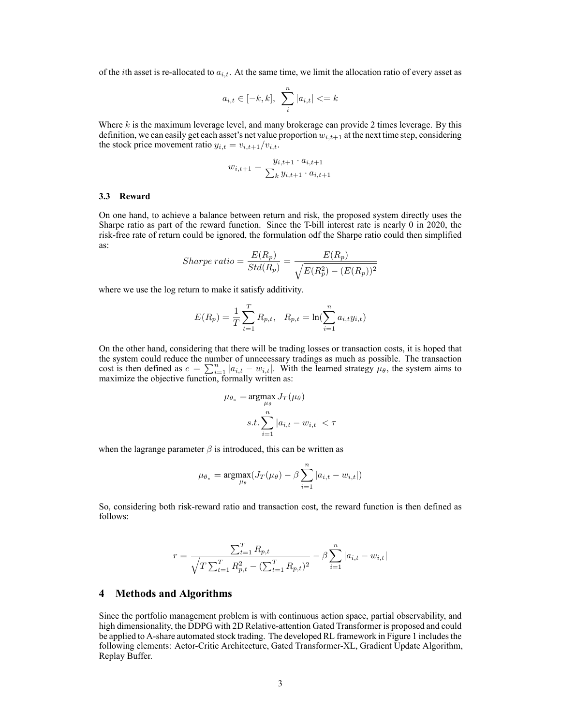of the *i*th asset is re-allocated to  $a_{i,t}$ . At the same time, we limit the allocation ratio of every asset as

$$
a_{i,t} \in [-k, k], \sum_{i}^{n} |a_{i,t}| \leq k
$$

Where *k* is the maximum leverage level, and many brokerage can provide 2 times leverage. By this definition, we can easily get each asset's net value proportion  $w_{i,t+1}$  at the next time step, considering the stock price movement ratio  $y_{i,t} = v_{i,t+1}/v_{i,t}$ .

$$
w_{i,t+1} = \frac{y_{i,t+1} \cdot a_{i,t+1}}{\sum_{k} y_{i,t+1} \cdot a_{i,t+1}}
$$

#### **3.3 Reward**

On one hand, to achieve a balance between return and risk, the proposed system directly uses the Sharpe ratio as part of the reward function. Since the T-bill interest rate is nearly 0 in 2020, the risk-free rate of return could be ignored, the formulation odf the Sharpe ratio could then simplified as:

$$
Sharpe\ ratio = \frac{E(R_p)}{Std(R_p)} = \frac{E(R_p)}{\sqrt{E(R_p^2) - (E(R_p))^2}}
$$

where we use the log return to make it satisfy additivity.

$$
E(R_p) = \frac{1}{T} \sum_{t=1}^{T} R_{p,t}, \quad R_{p,t} = \ln(\sum_{i=1}^{n} a_{i,t} y_{i,t})
$$

On the other hand, considering that there will be trading losses or transaction costs, it is hoped that the system could reduce the number of unnecessary tradings as much as possible. The transaction cost is then defined as  $c = \sum_{i=1}^{n} |a_{i,t} - w_{i,t}|$ . With the learned strategy  $\mu_{\theta}$ , the system aims to maximize the objective function, formally written as:

$$
\mu_{\theta_*} = \operatorname*{argmax}_{\mu_{\theta}} J_T(\mu_{\theta})
$$

$$
s.t. \sum_{i=1}^n |a_{i,t} - w_{i,t}| < \tau
$$

when the lagrange parameter  $\beta$  is introduced, this can be written as

$$
\mu_{\theta_*} = \underset{\mu_{\theta}}{\operatorname{argmax}} (J_T(\mu_{\theta}) - \beta \sum_{i=1}^n |a_{i,t} - w_{i,t}|)
$$

So, considering both risk-reward ratio and transaction cost, the reward function is then defined as follows:

$$
r = \frac{\sum_{t=1}^{T} R_{p,t}}{\sqrt{T \sum_{t=1}^{T} R_{p,t}^2 - (\sum_{t=1}^{T} R_{p,t})^2}} - \beta \sum_{i=1}^{n} |a_{i,t} - w_{i,t}|
$$

#### **4 Methods and Algorithms**

Since the portfolio management problem is with continuous action space, partial observability, and high dimensionality, the DDPG with 2D Relative-attention Gated Transformer is proposed and could be applied to Ashare automated stock trading. The developed RL framework in Figure 1 includes the following elements: Actor-Critic Architecture, Gated Transformer-XL, Gradient Update Algorithm, Replay Buffer.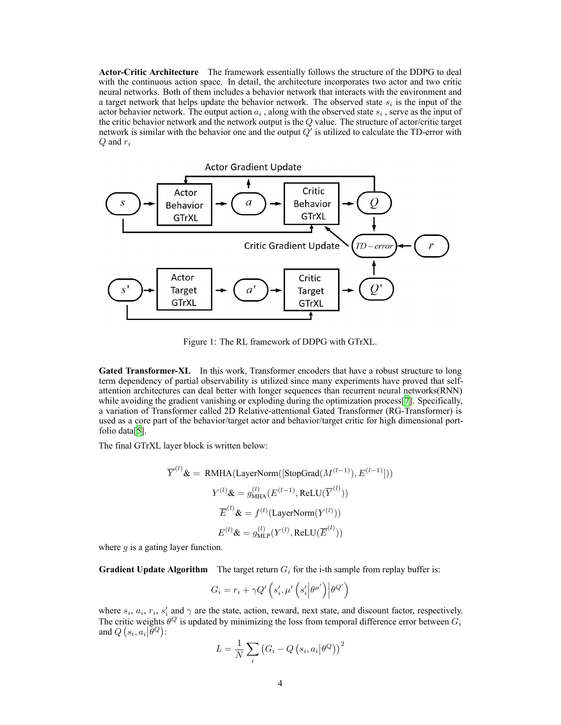**Actor-Critic Architecture** The framework essentially follows the structure of the DDPG to deal with the continuous action space. In detail, the architecture incorporates two actor and two critic neural networks. Both of them includes a behavior network that interacts with the environment and a target network that helps update the behavior network. The observed state  $s_i$  is the input of the actor behavior network. The output action  $a_i$ , along with the observed state  $s_i$ , serve as the input of the critic behavior network and the network output is the *Q* value. The structure of actor/critic target network is similar with the behavior one and the output  $Q'$  is utilized to calculate the TD-error with *Q* and *r<sup>i</sup>*



Figure 1: The RL framework of DDPG with GTrXL.

Gated Transformer-XL In this work, Transformer encoders that have a robust structure to long term dependency of partial observability is utilized since many experiments have proved that selfattention architectures can deal better with longer sequences than recurrent neural networks(RNN) while avoiding the gradient vanishing or exploding during the optimization process [[7\]](#page-5-9). Specifically, a variation of Transformer called 2D Relative-attentional Gated Transformer (RG-Transformer) is used as a core part of the behavior/target actor and behavior/target critic for high dimensional portfolio data[\[5](#page-5-3)].

The final GTrXL layer block is written below:

$$
\overline{Y}^{(l)}\mathbf{\&} = \text{RMHA}(\text{LayerNorm}([\text{StopGrad}(M^{(l-1)}), E^{(l-1)}]))
$$

$$
Y^{(l)}\mathbf{\&} = g_{\text{MHA}}^{(l)}(E^{(l-1)}, \text{ReLU}(\overline{Y}^{(l)}))
$$

$$
\overline{E}^{(l)}\mathbf{\&} = f^{(l)}(\text{LayerNorm}(Y^{(l)}))
$$

$$
E^{(l)}\mathbf{\&} = g_{\text{MLP}}^{(l)}(Y^{(l)}, \text{ReLU}(\overline{E}^{(l)}))
$$

where *g* is a gating layer function.

**Gradient Update Algorithm** The target return  $G_i$  for the i-th sample from replay buffer is:

$$
G_i = r_i + \gamma Q'\left(s'_i, \mu'\left(s'_i\middle|\theta^{\mu'}\right)\middle|\theta^{Q'}\right)
$$

where  $s_i$ ,  $a_i$ ,  $r_i$ ,  $s'_i$  and  $\gamma$  are the state, action, reward, next state, and discount factor, respectively. The critic weights  $\theta^Q$  is updated by minimizing the loss from temporal difference error between  $G_i$ and  $Q(s_i, a_i | \tilde{\theta}^Q)$ :

$$
L = \frac{1}{N} \sum_{i} (G_i - Q(s_i, a_i | \theta^Q))^{2}
$$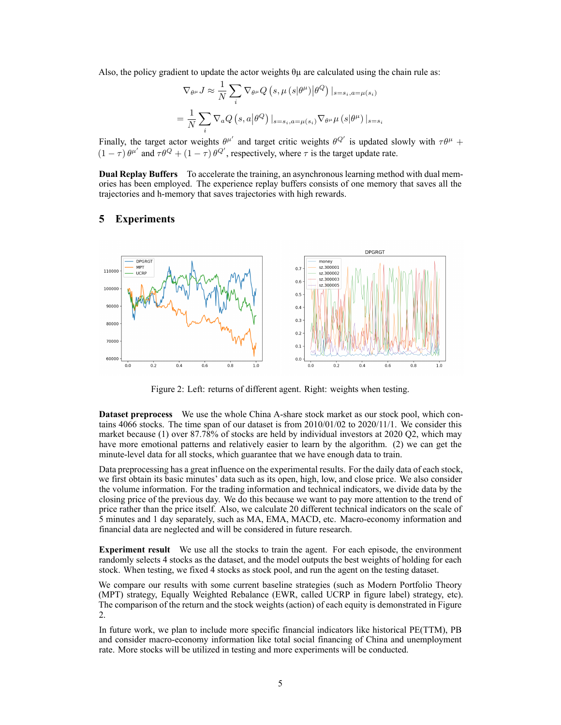Also, the policy gradient to update the actor weights  $\theta\mu$  are calculated using the chain rule as:

$$
\nabla_{\theta^{\mu}} J \approx \frac{1}{N} \sum_{i} \nabla_{\theta^{\mu}} Q\left(s, \mu\left(s|\theta^{\mu}\right) | \theta^{Q}\right) |_{s=s_{i}, a=\mu(s_{i})}
$$

$$
= \frac{1}{N} \sum_{i} \nabla_{a} Q\left(s, a | \theta^{Q}\right) |_{s=s_{i}, a=\mu(s_{i})} \nabla_{\theta^{\mu}} \mu\left(s | \theta^{\mu}\right) |_{s=s_{i}}
$$

Finally, the target actor weights  $\theta^{\mu'}$  and target critic weights  $\theta^{Q'}$  is updated slowly with  $\tau\theta^{\mu}$  +  $(1 - \tau) \theta^{\mu'}$  and  $\tau \theta^Q + (1 - \tau) \theta^{Q'}$ , respectively, where  $\tau$  is the target update rate.

**Dual Replay Buffers** To accelerate the training, an asynchronous learning method with dual memories has been employed. The experience replay buffers consists of one memory that saves all the trajectories and h-memory that saves trajectories with high rewards.

## **5 Experiments**



Figure 2: Left: returns of different agent. Right: weights when testing.

**Dataset preprocess** We use the whole China A-share stock market as our stock pool, which contains 4066 stocks. The time span of our dataset is from 2010/01/02 to 2020/11/1. We consider this market because (1) over 87.78% of stocks are held by individual investors at 2020 Q2, which may have more emotional patterns and relatively easier to learn by the algorithm. (2) we can get the minute-level data for all stocks, which guarantee that we have enough data to train.

Data preprocessing has a great influence on the experimental results. For the daily data of each stock, we first obtain its basic minutes' data such as its open, high, low, and close price. We also consider the volume information. For the trading information and technical indicators, we divide data by the closing price of the previous day. We do this because we want to pay more attention to the trend of price rather than the price itself. Also, we calculate 20 different technical indicators on the scale of 5 minutes and 1 day separately, such as MA, EMA, MACD, etc. Macroeconomy information and financial data are neglected and will be considered in future research.

**Experiment result** We use all the stocks to train the agent. For each episode, the environment randomly selects 4 stocks as the dataset, and the model outputs the best weights of holding for each stock. When testing, we fixed 4 stocks as stock pool, and run the agent on the testing dataset.

We compare our results with some current baseline strategies (such as Modern Portfolio Theory (MPT) strategy, Equally Weighted Rebalance (EWR, called UCRP in figure label) strategy, etc). The comparison of the return and the stock weights (action) of each equity is demonstrated in Figure 2.

In future work, we plan to include more specific financial indicators like historical PE(TTM), PB and consider macro-economy information like total social financing of China and unemployment rate. More stocks will be utilized in testing and more experiments will be conducted.